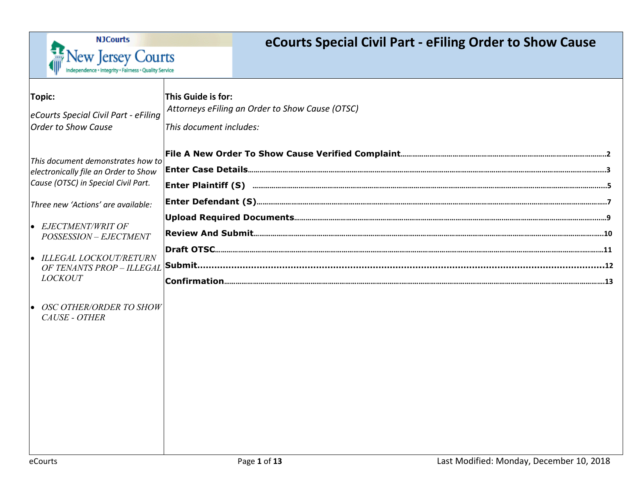

# **eCourts Special Civil Part - eFiling Order to Show Cause**

| Topic:<br>eCourts Special Civil Part - eFiling<br><b>Order to Show Cause</b>                                                                                                                                                           | This Guide is for:<br>Attorneys eFiling an Order to Show Cause (OTSC)<br>This document includes: |
|----------------------------------------------------------------------------------------------------------------------------------------------------------------------------------------------------------------------------------------|--------------------------------------------------------------------------------------------------|
| This document demonstrates how to<br>electronically file an Order to Show<br>Cause (OTSC) in Special Civil Part.<br>Three new 'Actions' are available:<br>EJECTMENT/WRIT OF<br>POSSESSION - EJECTMENT<br><b>ILLEGAL LOCKOUT/RETURN</b> |                                                                                                  |
| OF TENANTS PROP - ILLEGAL<br><b>LOCKOUT</b><br><b>OSC OTHER/ORDER TO SHOW</b><br><b>CAUSE - OTHER</b>                                                                                                                                  |                                                                                                  |
|                                                                                                                                                                                                                                        |                                                                                                  |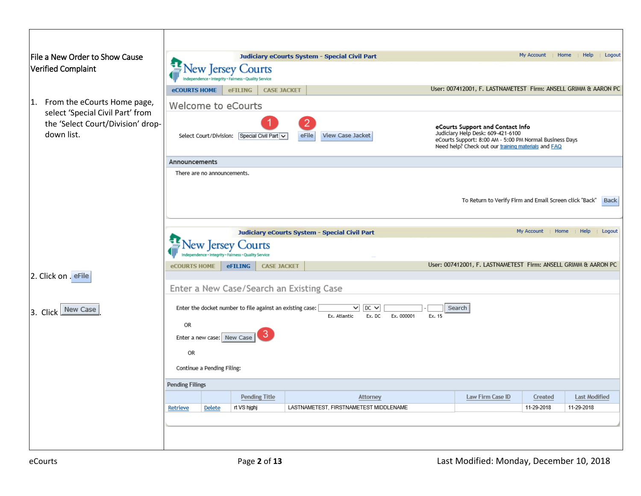<span id="page-1-0"></span>

| File a New Order to Show Cause                                                      |                                                                        |                                                                         |                      |  | Judiciary eCourts System - Special Civil Part |           |  |                                                                                                                                                                                         | My Account | Home | Help                 | Logout |
|-------------------------------------------------------------------------------------|------------------------------------------------------------------------|-------------------------------------------------------------------------|----------------------|--|-----------------------------------------------|-----------|--|-----------------------------------------------------------------------------------------------------------------------------------------------------------------------------------------|------------|------|----------------------|--------|
| Verified Complaint                                                                  |                                                                        | <b>ew Jersey</b><br>egrity · Fairness · Quality Service<br>dence + Inti | Courts               |  |                                               |           |  |                                                                                                                                                                                         |            |      |                      |        |
|                                                                                     | <b>eCOURTS HOME</b>                                                    | <b>eFILING</b>                                                          | <b>CASE JACKET</b>   |  |                                               |           |  | User: 007412001, F. LASTNAMETEST Firm: ANSELL GRIMM & AARON PC                                                                                                                          |            |      |                      |        |
| From the eCourts Home page,<br>1.                                                   |                                                                        | Welcome to eCourts                                                      |                      |  |                                               |           |  |                                                                                                                                                                                         |            |      |                      |        |
| select 'Special Civil Part' from<br>the 'Select Court/Division' drop-<br>down list. | eFile<br>View Case Jacket<br>Select Court/Division: Special Civil Part |                                                                         |                      |  |                                               |           |  | eCourts Support and Contact Info<br>Judiciary Help Desk: 609-421-6100<br>eCourts Support: 8:00 AM - 5:00 PM Normal Business Days<br>Need help? Check out our training materials and FAQ |            |      |                      |        |
|                                                                                     | Announcements                                                          |                                                                         |                      |  |                                               |           |  |                                                                                                                                                                                         |            |      |                      |        |
|                                                                                     |                                                                        | There are no announcements.                                             |                      |  |                                               |           |  |                                                                                                                                                                                         |            |      |                      |        |
|                                                                                     |                                                                        |                                                                         |                      |  |                                               |           |  |                                                                                                                                                                                         |            |      |                      |        |
|                                                                                     |                                                                        |                                                                         |                      |  |                                               |           |  | To Return to Verify Firm and Email Screen click "Back"                                                                                                                                  |            |      |                      | Back   |
|                                                                                     |                                                                        |                                                                         |                      |  |                                               |           |  |                                                                                                                                                                                         |            |      |                      |        |
|                                                                                     |                                                                        |                                                                         |                      |  | Judiciary eCourts System - Special Civil Part |           |  |                                                                                                                                                                                         | My Account | Home | Help                 | Logout |
|                                                                                     |                                                                        |                                                                         | ourts                |  |                                               |           |  |                                                                                                                                                                                         |            |      |                      |        |
|                                                                                     | <b>eCOURTS HOME</b>                                                    | <b>eFILING</b>                                                          | <b>CASE JACKET</b>   |  |                                               |           |  | User: 007412001, F. LASTNAMETEST Firm: ANSELL GRIMM & AARON PC                                                                                                                          |            |      |                      |        |
| 2. Click on . eFile                                                                 |                                                                        |                                                                         |                      |  |                                               |           |  |                                                                                                                                                                                         |            |      |                      |        |
|                                                                                     | Enter a New Case/Search an Existing Case                               |                                                                         |                      |  |                                               |           |  |                                                                                                                                                                                         |            |      |                      |        |
| New Case<br>3. Click                                                                |                                                                        | Enter the docket number to file against an existing case:               |                      |  | $\checkmark$                                  | $DC \vee$ |  | Search                                                                                                                                                                                  |            |      |                      |        |
|                                                                                     | Ex. Atlantic<br>Ex. DC<br>Ex. 000001<br>Ex. 15<br>OR                   |                                                                         |                      |  |                                               |           |  |                                                                                                                                                                                         |            |      |                      |        |
|                                                                                     |                                                                        | Enter a new case: New Case                                              | 3                    |  |                                               |           |  |                                                                                                                                                                                         |            |      |                      |        |
|                                                                                     | <b>OR</b>                                                              |                                                                         |                      |  |                                               |           |  |                                                                                                                                                                                         |            |      |                      |        |
|                                                                                     |                                                                        | Continue a Pending Filing:                                              |                      |  |                                               |           |  |                                                                                                                                                                                         |            |      |                      |        |
|                                                                                     | <b>Pending Filings</b>                                                 |                                                                         |                      |  |                                               |           |  |                                                                                                                                                                                         |            |      |                      |        |
|                                                                                     |                                                                        |                                                                         | <b>Pending Title</b> |  |                                               | Attorney  |  | Law Firm Case ID                                                                                                                                                                        | Created    |      | <b>Last Modified</b> |        |
|                                                                                     | Retrieve                                                               | Delete                                                                  | rt VS hjghj          |  | LASTNAMETEST, FIRSTNAMETEST MIDDLENAME        |           |  |                                                                                                                                                                                         | 11-29-2018 |      | 11-29-2018           |        |
|                                                                                     |                                                                        |                                                                         |                      |  |                                               |           |  |                                                                                                                                                                                         |            |      |                      |        |
|                                                                                     |                                                                        |                                                                         |                      |  |                                               |           |  |                                                                                                                                                                                         |            |      |                      |        |
|                                                                                     |                                                                        |                                                                         |                      |  |                                               |           |  |                                                                                                                                                                                         |            |      |                      |        |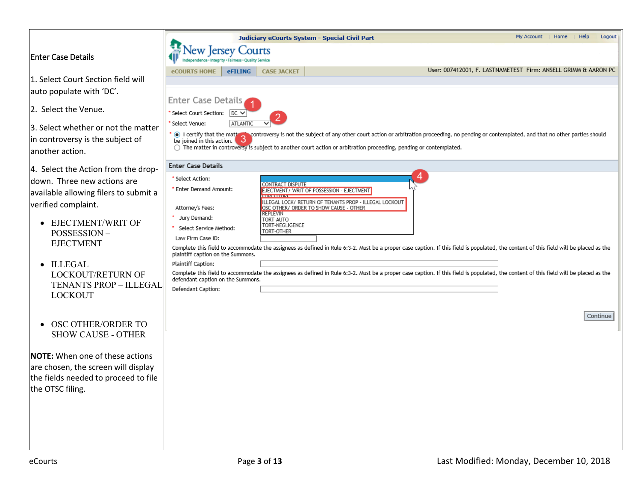### <span id="page-2-0"></span>Enter Case Details

- $\vert$ 1. Select Court Section field auto populate with 'DC'.
- 2. Select the Venue.

 $3.$  Select whether or not the  $\frac{1}{\pi}$  in controversy is the subject another action.

| 4. Select the Action from the drop-   |
|---------------------------------------|
| down. Three new actions are           |
| available allowing filers to submit a |
| verified complaint.                   |

- EJECTMENT/WRIT O POSSESSION – EJECTMENT
- ILLEGAL LOCKOUT/RETURN TENANTS PROP - IL LOCKOUT
- OSC OTHER/ORDER SHOW CAUSE - OTH

**NOTE:** When one of these actions  $|$ are chosen, the screen will d the fields needed to proceed the OTSC filing.

|                      |                                                       | Judiciary eCourts System - Special Civil Part | My Account   Home              | $ $ Help                                                                                            | Logout                                                                                                                      |                                                                                                                                                                                       |  |  |  |          |
|----------------------|-------------------------------------------------------|-----------------------------------------------|--------------------------------|-----------------------------------------------------------------------------------------------------|-----------------------------------------------------------------------------------------------------------------------------|---------------------------------------------------------------------------------------------------------------------------------------------------------------------------------------|--|--|--|----------|
|                      |                                                       | ew Jersey Courts                              |                                |                                                                                                     |                                                                                                                             |                                                                                                                                                                                       |  |  |  |          |
|                      | <b>eCOURTS HOME</b>                                   | <b>eFILING</b>                                | <b>CASE JACKET</b>             |                                                                                                     |                                                                                                                             | User: 007412001, F. LASTNAMETEST Firm: ANSELL GRIMM & AARON PC                                                                                                                        |  |  |  |          |
| will                 |                                                       |                                               |                                |                                                                                                     |                                                                                                                             |                                                                                                                                                                                       |  |  |  |          |
|                      | <b>Enter Case Details</b>                             |                                               |                                |                                                                                                     |                                                                                                                             |                                                                                                                                                                                       |  |  |  |          |
|                      | Select Court Section:<br>* Select Venue:              | $DC \vee$<br><b>ATLANTIC</b>                  |                                |                                                                                                     |                                                                                                                             |                                                                                                                                                                                       |  |  |  |          |
| e matter<br>: of     | * icertify that the math<br>be joined in this action. |                                               |                                |                                                                                                     | $\bigcirc$ The matter in controversy is subject to another court action or arbitration proceeding, pending or contemplated. | ∿controversy is not the subject of any other court action or arbitration proceeding, no pending or contemplated, and that no other parties should                                     |  |  |  |          |
| ie drop-             | <b>Enter Case Details</b>                             |                                               |                                |                                                                                                     |                                                                                                                             |                                                                                                                                                                                       |  |  |  |          |
| re                   | * Select Action:                                      |                                               |                                |                                                                                                     |                                                                                                                             |                                                                                                                                                                                       |  |  |  |          |
| ubmit a              | * Enter Demand Amount:                                |                                               | CONTRACT DISPUTE<br>2002201000 | EJECTMENT/ WRIT OF POSSESSION - EJECTMENT<br>ILLEGAL LOCK/ RETURN OF TENANTS PROP - ILLEGAL LOCKOUT |                                                                                                                             |                                                                                                                                                                                       |  |  |  |          |
|                      | Attorney's Fees:                                      |                                               | <b>REPLEVIN</b>                | OSC OTHER/ ORDER TO SHOW CAUSE - OTHER                                                              |                                                                                                                             |                                                                                                                                                                                       |  |  |  |          |
| ΟF                   | Jury Demand:<br>Select Service Method:                |                                               | TORT-AUTO<br>TORT-NEGLIGENCE   |                                                                                                     |                                                                                                                             |                                                                                                                                                                                       |  |  |  |          |
|                      | Law Firm Case ID:                                     |                                               | TORT-OTHER                     |                                                                                                     |                                                                                                                             |                                                                                                                                                                                       |  |  |  |          |
|                      | plaintiff caption on the Summons.                     |                                               |                                |                                                                                                     |                                                                                                                             | Complete this field to accommodate the assignees as defined in Rule 6:3-2. Must be a proper case caption. If this field is populated, the content of this field will be placed as the |  |  |  |          |
|                      | Plaintiff Caption:                                    |                                               |                                |                                                                                                     |                                                                                                                             |                                                                                                                                                                                       |  |  |  |          |
| I OF<br>LEGAL        | defendant caption on the Summons.                     |                                               |                                |                                                                                                     |                                                                                                                             | Complete this field to accommodate the assignees as defined in Rule 6:3-2. Must be a proper case caption. If this field is populated, the content of this field will be placed as the |  |  |  |          |
|                      | Defendant Caption:                                    |                                               |                                |                                                                                                     |                                                                                                                             |                                                                                                                                                                                       |  |  |  |          |
| l TO                 |                                                       |                                               |                                |                                                                                                     |                                                                                                                             |                                                                                                                                                                                       |  |  |  | Continue |
| <b>HER</b>           |                                                       |                                               |                                |                                                                                                     |                                                                                                                             |                                                                                                                                                                                       |  |  |  |          |
|                      |                                                       |                                               |                                |                                                                                                     |                                                                                                                             |                                                                                                                                                                                       |  |  |  |          |
| ctions               |                                                       |                                               |                                |                                                                                                     |                                                                                                                             |                                                                                                                                                                                       |  |  |  |          |
| display<br>d to file |                                                       |                                               |                                |                                                                                                     |                                                                                                                             |                                                                                                                                                                                       |  |  |  |          |
|                      |                                                       |                                               |                                |                                                                                                     |                                                                                                                             |                                                                                                                                                                                       |  |  |  |          |
|                      |                                                       |                                               |                                |                                                                                                     |                                                                                                                             |                                                                                                                                                                                       |  |  |  |          |
|                      |                                                       |                                               |                                |                                                                                                     |                                                                                                                             |                                                                                                                                                                                       |  |  |  |          |
|                      |                                                       |                                               |                                |                                                                                                     |                                                                                                                             |                                                                                                                                                                                       |  |  |  |          |
|                      |                                                       |                                               |                                |                                                                                                     |                                                                                                                             |                                                                                                                                                                                       |  |  |  |          |
|                      |                                                       |                                               |                                |                                                                                                     |                                                                                                                             |                                                                                                                                                                                       |  |  |  |          |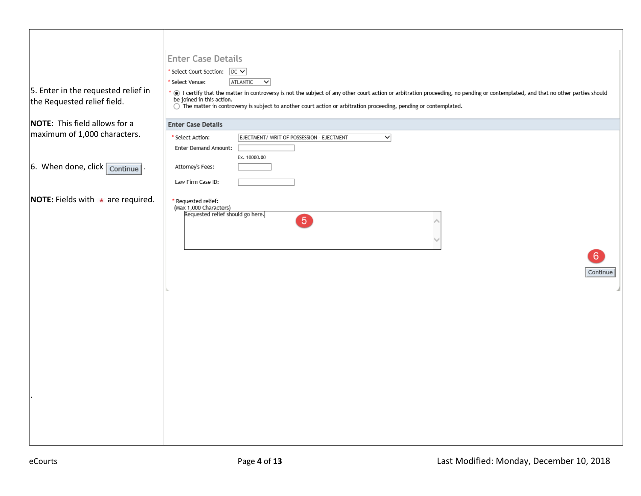|                                                | <b>Enter Case Details</b>                                                                                                                                                                                    |
|------------------------------------------------|--------------------------------------------------------------------------------------------------------------------------------------------------------------------------------------------------------------|
|                                                | * Select Court Section: DC V                                                                                                                                                                                 |
|                                                | ATLANTIC<br>$\checkmark$<br>Select Venue:                                                                                                                                                                    |
| 5. Enter in the requested relief in            | . I certify that the matter in controversy is not the subject of any other court action or arbitration proceeding, no pending or contemplated, and that no other parties should<br>be joined in this action. |
| the Requested relief field.                    | $\bigcirc$ The matter in controversy is subject to another court action or arbitration proceeding, pending or contemplated.                                                                                  |
| <b>NOTE:</b> This field allows for a           | <b>Enter Case Details</b>                                                                                                                                                                                    |
| maximum of 1,000 characters.                   | $\checkmark$<br>* Select Action:<br>EJECTMENT/ WRIT OF POSSESSION - EJECTMENT                                                                                                                                |
|                                                | Enter Demand Amount:                                                                                                                                                                                         |
|                                                | Ex. 10000.00                                                                                                                                                                                                 |
| 6. When done, click $\boxed{\text{continue}}$  | Attorney's Fees:                                                                                                                                                                                             |
|                                                | Law Firm Case ID:                                                                                                                                                                                            |
| <b>NOTE:</b> Fields with $\star$ are required. | * Requested relief:                                                                                                                                                                                          |
|                                                | (Max 1,000 Characters)<br>Requested relief should go here.                                                                                                                                                   |
|                                                | $\boxed{5}$                                                                                                                                                                                                  |
|                                                |                                                                                                                                                                                                              |
|                                                |                                                                                                                                                                                                              |
|                                                | 6 <sup>°</sup>                                                                                                                                                                                               |
|                                                |                                                                                                                                                                                                              |
|                                                | Continue                                                                                                                                                                                                     |
|                                                |                                                                                                                                                                                                              |
|                                                |                                                                                                                                                                                                              |
|                                                |                                                                                                                                                                                                              |
|                                                |                                                                                                                                                                                                              |
|                                                |                                                                                                                                                                                                              |
|                                                |                                                                                                                                                                                                              |
|                                                |                                                                                                                                                                                                              |
|                                                |                                                                                                                                                                                                              |
|                                                |                                                                                                                                                                                                              |
|                                                |                                                                                                                                                                                                              |
|                                                |                                                                                                                                                                                                              |
|                                                |                                                                                                                                                                                                              |
|                                                |                                                                                                                                                                                                              |
|                                                |                                                                                                                                                                                                              |
|                                                |                                                                                                                                                                                                              |
|                                                |                                                                                                                                                                                                              |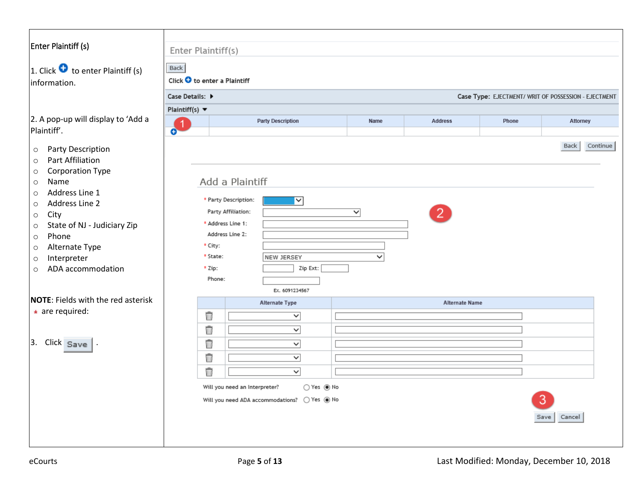# <span id="page-4-0"></span>Enter Plaintiff (s)

1. Click  $\bullet$  to enter Plaintiff (s) information.

 $2.$  A pop-up will display to 'Add Plaintiff'.

- o Party Description
- o Part Affiliation
- o Corporation Type
- o Name
- o Address Line 1
- o Address Line 2
- o City
- o State of NJ Judiciary Zip
- o Phone
- o Alternate Type
- o Interpreter
- o ADA accommodation

#### **NOTE:** Fields with the red aster

**\*** are required:

|  | Click |  |
|--|-------|--|
|--|-------|--|

|                                   | Case Details: ▶ |                                      |                                             |                         |                       | Case Type: EJECTMENT/ WRIT OF POSSESSION - EJECTMENT |                  |
|-----------------------------------|-----------------|--------------------------------------|---------------------------------------------|-------------------------|-----------------------|------------------------------------------------------|------------------|
| Plaintiff(s) $\blacktriangledown$ |                 |                                      |                                             |                         |                       |                                                      |                  |
| $\overline{1}$<br>$\bullet$       |                 |                                      | <b>Party Description</b>                    | Name                    | <b>Address</b>        | Phone                                                | <b>Attorney</b>  |
|                                   |                 |                                      |                                             |                         |                       |                                                      | Continue<br>Back |
|                                   |                 |                                      |                                             |                         |                       |                                                      |                  |
|                                   |                 | Add a Plaintiff                      |                                             |                         |                       |                                                      |                  |
|                                   |                 | * Party Description:                 | $\overline{\mathsf{v}}$                     |                         |                       |                                                      |                  |
|                                   |                 | Party Affiliation:                   |                                             | $\overline{\mathsf{v}}$ | $\mathbf{2}^{\circ}$  |                                                      |                  |
|                                   |                 | * Address Line 1:<br>Address Line 2: |                                             |                         |                       |                                                      |                  |
|                                   | * City:         |                                      |                                             |                         |                       |                                                      |                  |
|                                   | * State:        |                                      | NEW JERSEY                                  | ◡                       |                       |                                                      |                  |
|                                   | $*$ Zip:        |                                      | Zip Ext:                                    |                         |                       |                                                      |                  |
|                                   | Phone:          |                                      |                                             |                         |                       |                                                      |                  |
|                                   |                 |                                      | Ex. 6091234567                              |                         |                       |                                                      |                  |
|                                   |                 |                                      | Alternate Type                              |                         | <b>Alternate Name</b> |                                                      |                  |
|                                   | Ŵ               |                                      | v                                           |                         |                       |                                                      |                  |
|                                   | Ū               |                                      | $\overline{\phantom{0}}$                    |                         |                       |                                                      |                  |
|                                   | Ŵ               |                                      | $\overline{\mathsf{v}}$                     |                         |                       |                                                      |                  |
|                                   | Ū               |                                      | $\overline{\phantom{0}}$                    |                         |                       |                                                      |                  |
|                                   | Û               |                                      | $\overline{\phantom{0}}$                    |                         |                       |                                                      |                  |
|                                   |                 |                                      | Will you need an Interpreter?<br>○ Yes ◉ No |                         |                       |                                                      |                  |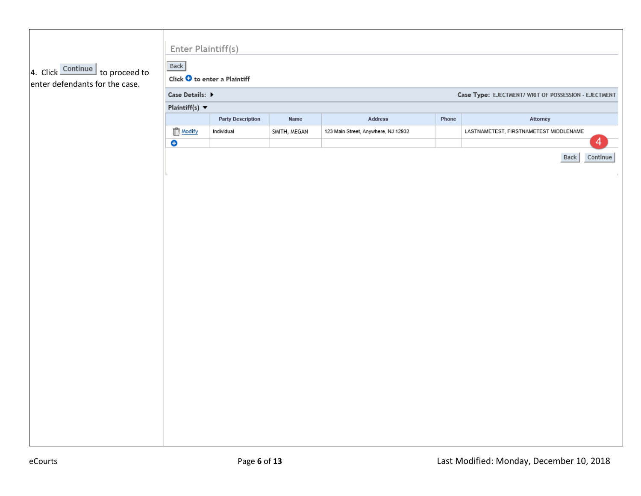| 4. Click Continue to proceed to<br>enter defendants for the case. | Enter Plaintiff(s)<br>Back                                              | Click $\bullet$ to enter a Plaintiff |              |                                     |       |                                        |          |  |  |  |  |  |
|-------------------------------------------------------------------|-------------------------------------------------------------------------|--------------------------------------|--------------|-------------------------------------|-------|----------------------------------------|----------|--|--|--|--|--|
|                                                                   | Case Details: ▶<br>Case Type: EJECTMENT/ WRIT OF POSSESSION - EJECTMENT |                                      |              |                                     |       |                                        |          |  |  |  |  |  |
|                                                                   | Plaintiff(s) $\blacktriangledown$                                       |                                      |              |                                     |       |                                        |          |  |  |  |  |  |
|                                                                   |                                                                         | <b>Party Description</b>             | Name         | Address                             | Phone | Attorney                               |          |  |  |  |  |  |
|                                                                   | <b>Modify</b><br>$\bullet$                                              | Individual                           | SMITH, MEGAN | 123 Main Street, Anywhere, NJ 12932 |       | LASTNAMETEST, FIRSTNAMETEST MIDDLENAME | 4        |  |  |  |  |  |
|                                                                   |                                                                         |                                      |              |                                     |       | <b>Back</b>                            | Continue |  |  |  |  |  |
|                                                                   |                                                                         |                                      |              |                                     |       |                                        |          |  |  |  |  |  |
|                                                                   |                                                                         |                                      |              |                                     |       |                                        |          |  |  |  |  |  |
|                                                                   |                                                                         |                                      |              |                                     |       |                                        |          |  |  |  |  |  |
|                                                                   |                                                                         |                                      |              |                                     |       |                                        |          |  |  |  |  |  |
|                                                                   |                                                                         |                                      |              |                                     |       |                                        |          |  |  |  |  |  |
|                                                                   |                                                                         |                                      |              |                                     |       |                                        |          |  |  |  |  |  |
|                                                                   |                                                                         |                                      |              |                                     |       |                                        |          |  |  |  |  |  |
|                                                                   |                                                                         |                                      |              |                                     |       |                                        |          |  |  |  |  |  |
|                                                                   |                                                                         |                                      |              |                                     |       |                                        |          |  |  |  |  |  |
|                                                                   |                                                                         |                                      |              |                                     |       |                                        |          |  |  |  |  |  |
|                                                                   |                                                                         |                                      |              |                                     |       |                                        |          |  |  |  |  |  |
|                                                                   |                                                                         |                                      |              |                                     |       |                                        |          |  |  |  |  |  |
|                                                                   |                                                                         |                                      |              |                                     |       |                                        |          |  |  |  |  |  |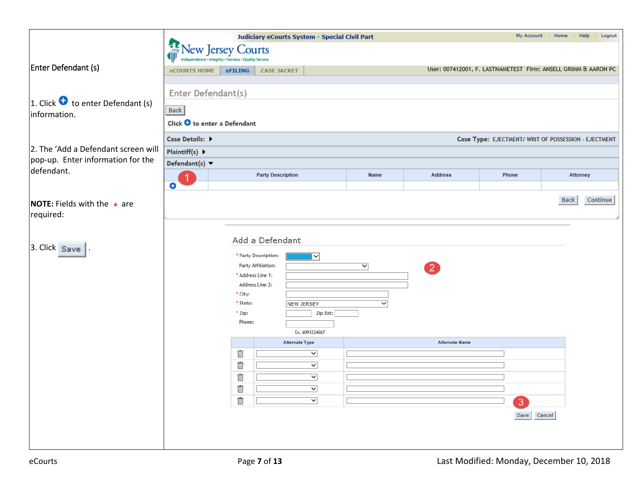<span id="page-6-0"></span>

|                                                           |                                                                         | Judiciary eCourts System - Special Civil Part<br>My Account<br>  Home |                                         |      |                       |             |                                                                |  |  |  |  |  |  |
|-----------------------------------------------------------|-------------------------------------------------------------------------|-----------------------------------------------------------------------|-----------------------------------------|------|-----------------------|-------------|----------------------------------------------------------------|--|--|--|--|--|--|
|                                                           |                                                                         | New Jersey Courts<br>rity · Fairness · Quality Service                |                                         |      |                       |             |                                                                |  |  |  |  |  |  |
| Enter Defendant (s)                                       | <b>eCOURTS HOME</b>                                                     | <b>eFILING</b>                                                        | <b>CASE JACKET</b>                      |      |                       |             | User: 007412001, F. LASTNAMETEST Firm: ANSELL GRIMM & AARON PC |  |  |  |  |  |  |
|                                                           |                                                                         | Enter Defendant(s)                                                    |                                         |      |                       |             |                                                                |  |  |  |  |  |  |
| 1. Click $\bullet$ to enter Defendant (s)<br>information. | <b>Back</b>                                                             |                                                                       |                                         |      |                       |             |                                                                |  |  |  |  |  |  |
|                                                           | Click $\bullet$ to enter a Defendant                                    |                                                                       |                                         |      |                       |             |                                                                |  |  |  |  |  |  |
|                                                           | Case Details: ▶<br>Case Type: EJECTMENT/ WRIT OF POSSESSION - EJECTMENT |                                                                       |                                         |      |                       |             |                                                                |  |  |  |  |  |  |
| 2. The 'Add a Defendant screen will                       | Plaintiff(s) $\blacktriangleright$                                      |                                                                       |                                         |      |                       |             |                                                                |  |  |  |  |  |  |
| pop-up. Enter information for the<br>defendant.           | Defendant(s) $\blacktriangledown$                                       |                                                                       |                                         |      |                       |             |                                                                |  |  |  |  |  |  |
|                                                           | $\bullet$                                                               |                                                                       | <b>Party Description</b>                | Name | <b>Address</b>        | Phone       | Attorney                                                       |  |  |  |  |  |  |
|                                                           |                                                                         |                                                                       |                                         |      |                       |             | Back<br>Continue                                               |  |  |  |  |  |  |
| <b>NOTE:</b> Fields with the $\star$ are<br>required:     |                                                                         |                                                                       |                                         |      |                       |             |                                                                |  |  |  |  |  |  |
|                                                           |                                                                         |                                                                       |                                         |      |                       |             |                                                                |  |  |  |  |  |  |
| 3. Click Save                                             |                                                                         |                                                                       | Add a Defendant                         |      |                       |             |                                                                |  |  |  |  |  |  |
|                                                           |                                                                         | * Party Description:                                                  | $\overline{\phantom{a}}$                |      |                       |             |                                                                |  |  |  |  |  |  |
|                                                           |                                                                         | Party Affiliation:<br>* Address Line 1:                               |                                         | ▽    | $\boxed{2}$           |             |                                                                |  |  |  |  |  |  |
|                                                           |                                                                         | Address Line 2:                                                       |                                         |      |                       |             |                                                                |  |  |  |  |  |  |
|                                                           |                                                                         | * City:<br>* State:                                                   | NEW JERSEY                              | ▽    |                       |             |                                                                |  |  |  |  |  |  |
|                                                           |                                                                         | * Zip:                                                                | Zip Ext:                                |      |                       |             |                                                                |  |  |  |  |  |  |
|                                                           |                                                                         | Phone:                                                                |                                         |      |                       |             |                                                                |  |  |  |  |  |  |
|                                                           |                                                                         |                                                                       | Ex. 6091234567<br><b>Alternate Type</b> |      | <b>Alternate Name</b> |             |                                                                |  |  |  |  |  |  |
|                                                           |                                                                         | Ŵ                                                                     | $\checkmark$                            |      |                       |             |                                                                |  |  |  |  |  |  |
|                                                           |                                                                         | Û                                                                     | $\checkmark$                            |      |                       |             |                                                                |  |  |  |  |  |  |
|                                                           |                                                                         | Ŵ                                                                     | $\checkmark$                            |      |                       |             |                                                                |  |  |  |  |  |  |
|                                                           |                                                                         | û                                                                     | $\overline{\phantom{0}}$                |      |                       |             |                                                                |  |  |  |  |  |  |
|                                                           |                                                                         | û                                                                     | $\overline{\mathsf{v}}$                 |      |                       | 3           |                                                                |  |  |  |  |  |  |
|                                                           |                                                                         |                                                                       |                                         |      |                       | Save Cancel |                                                                |  |  |  |  |  |  |
|                                                           |                                                                         |                                                                       |                                         |      |                       |             |                                                                |  |  |  |  |  |  |
|                                                           |                                                                         |                                                                       |                                         |      |                       |             |                                                                |  |  |  |  |  |  |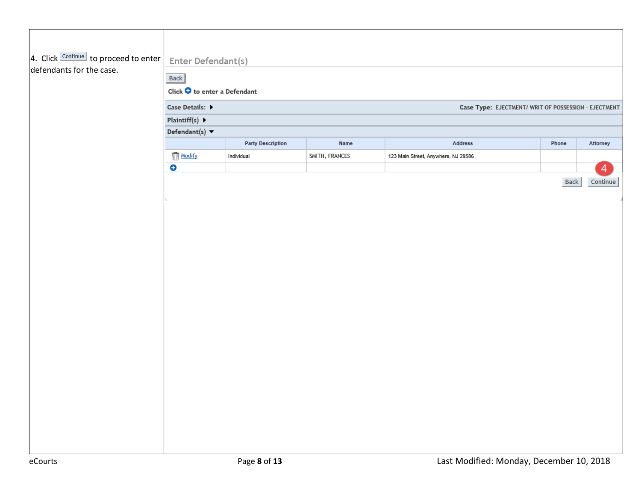| 4. Click Continue to proceed to enter | Enter Defendant(s)                                  |                          |                |                                     |                                                      |          |  |  |  |  |  |
|---------------------------------------|-----------------------------------------------------|--------------------------|----------------|-------------------------------------|------------------------------------------------------|----------|--|--|--|--|--|
| defendants for the case.              | <b>Back</b><br>Click $\bullet$ to enter a Defendant |                          |                |                                     |                                                      |          |  |  |  |  |  |
|                                       | Case Details: ▶                                     |                          |                |                                     | Case Type: EJECTMENT/ WRIT OF POSSESSION - EJECTMENT |          |  |  |  |  |  |
|                                       | Plaintiff(s) $\blacktriangleright$                  |                          |                |                                     |                                                      |          |  |  |  |  |  |
|                                       | Defendant(s) $\blacktriangledown$                   |                          |                |                                     |                                                      |          |  |  |  |  |  |
|                                       |                                                     | <b>Party Description</b> | Name           | Address                             | Phone                                                | Attorney |  |  |  |  |  |
|                                       | Modify                                              | Individual               | SMITH, FRANCES | 123 Main Street, Anywhere, NJ 29586 |                                                      |          |  |  |  |  |  |
|                                       | $\bullet$                                           |                          |                |                                     |                                                      | 4        |  |  |  |  |  |
|                                       |                                                     |                          |                |                                     | Back                                                 | Continue |  |  |  |  |  |
|                                       |                                                     |                          |                |                                     |                                                      |          |  |  |  |  |  |
|                                       |                                                     |                          |                |                                     |                                                      |          |  |  |  |  |  |
|                                       |                                                     |                          |                |                                     |                                                      |          |  |  |  |  |  |
|                                       |                                                     |                          |                |                                     |                                                      |          |  |  |  |  |  |
|                                       |                                                     |                          |                |                                     |                                                      |          |  |  |  |  |  |
|                                       |                                                     |                          |                |                                     |                                                      |          |  |  |  |  |  |
|                                       |                                                     |                          |                |                                     |                                                      |          |  |  |  |  |  |
|                                       |                                                     |                          |                |                                     |                                                      |          |  |  |  |  |  |
|                                       |                                                     |                          |                |                                     |                                                      |          |  |  |  |  |  |
|                                       |                                                     |                          |                |                                     |                                                      |          |  |  |  |  |  |
|                                       |                                                     |                          |                |                                     |                                                      |          |  |  |  |  |  |
|                                       |                                                     |                          |                |                                     |                                                      |          |  |  |  |  |  |
|                                       |                                                     |                          |                |                                     |                                                      |          |  |  |  |  |  |
|                                       |                                                     |                          |                |                                     |                                                      |          |  |  |  |  |  |
|                                       |                                                     |                          |                |                                     |                                                      |          |  |  |  |  |  |
|                                       |                                                     |                          |                |                                     |                                                      |          |  |  |  |  |  |
|                                       |                                                     |                          |                |                                     |                                                      |          |  |  |  |  |  |
|                                       |                                                     |                          |                |                                     |                                                      |          |  |  |  |  |  |
|                                       |                                                     |                          |                |                                     |                                                      |          |  |  |  |  |  |
|                                       |                                                     |                          |                |                                     |                                                      |          |  |  |  |  |  |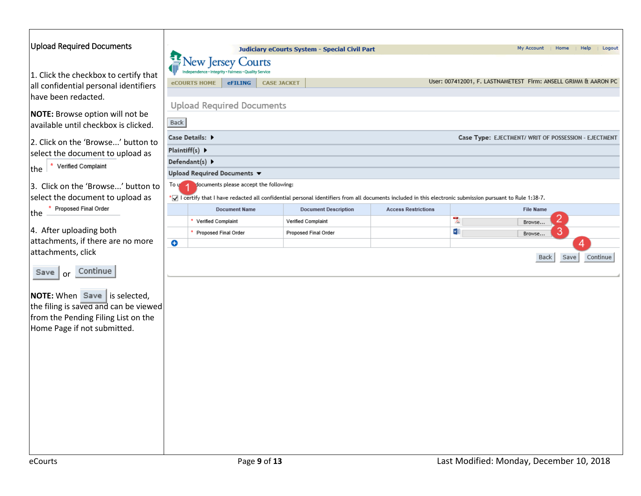<span id="page-8-0"></span>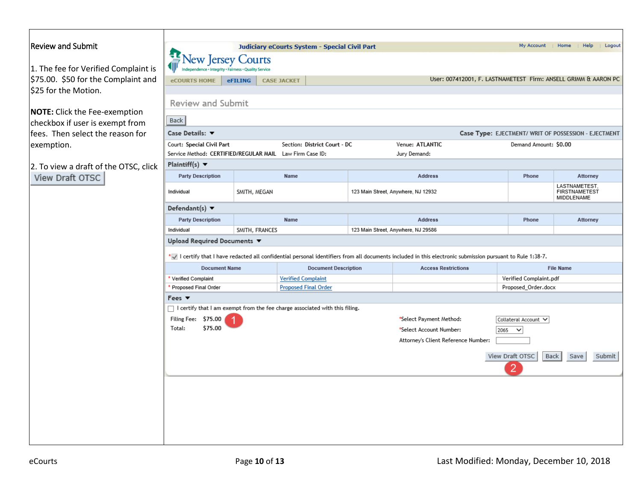# <span id="page-9-0"></span>Review and Submit

1. The fee for Verified Complai  $$75.00. $50$  for the Complaint \$25 for the Motion.

**NOTE:** Click the Fee-exemption checkbox if user is exempt from  $f$  fees. Then select the reason for exemption.

2. To view a draft of the OTSC,<br>View Draft OTSC

| <b>eCOURTS HOME</b>                                                                | <b>eFILING</b> | <b>CASE JACKET</b>        |                              | User: 007412001, F. LASTNAMETEST Firm: ANSELL GRIMM & AARON PC                                                                                             |                                                      |                                                     |
|------------------------------------------------------------------------------------|----------------|---------------------------|------------------------------|------------------------------------------------------------------------------------------------------------------------------------------------------------|------------------------------------------------------|-----------------------------------------------------|
|                                                                                    |                |                           |                              |                                                                                                                                                            |                                                      |                                                     |
| <b>Review and Submit</b>                                                           |                |                           |                              |                                                                                                                                                            |                                                      |                                                     |
| Back                                                                               |                |                           |                              |                                                                                                                                                            |                                                      |                                                     |
| Case Details: ▼                                                                    |                |                           |                              |                                                                                                                                                            | Case Type: EJECTMENT/ WRIT OF POSSESSION - EJECTMENT |                                                     |
| Court: Special Civil Part                                                          |                |                           | Section: District Court - DC | Venue: ATLANTIC                                                                                                                                            | Demand Amount: \$0.00                                |                                                     |
| Service Method: CERTIFIED/REGULAR MAIL Law Firm Case ID:                           |                |                           |                              | Jury Demand:                                                                                                                                               |                                                      |                                                     |
| Plaintiff(s) $\blacktriangledown$                                                  |                |                           |                              |                                                                                                                                                            |                                                      |                                                     |
| <b>Party Description</b>                                                           |                | Name                      |                              | <b>Address</b>                                                                                                                                             | Phone                                                | Attorney                                            |
| Individual                                                                         | SMITH, MEGAN   |                           |                              | 123 Main Street, Anywhere, NJ 12932                                                                                                                        |                                                      | LASTNAMETEST,<br><b>FIRSTNAMETEST</b><br>MIDDLENAME |
| Defendant(s) $\blacktriangledown$                                                  |                |                           |                              |                                                                                                                                                            |                                                      |                                                     |
| <b>Party Description</b>                                                           | Name           |                           |                              | <b>Address</b>                                                                                                                                             | Phone                                                | Attorney                                            |
| Individual                                                                         | SMITH, FRANCES |                           |                              | 123 Main Street, Anywhere, NJ 29586                                                                                                                        |                                                      |                                                     |
| Upload Required Documents ▼                                                        |                |                           |                              | *v I certify that I have redacted all confidential personal identifiers from all documents included in this electronic submission pursuant to Rule 1:38-7. |                                                      |                                                     |
| <b>Document Name</b>                                                               |                |                           | <b>Document Description</b>  | <b>Access Restrictions</b>                                                                                                                                 |                                                      | <b>File Name</b>                                    |
| * Verified Complaint                                                               |                | <b>Verified Complaint</b> |                              |                                                                                                                                                            | Verified Complaint.pdf                               |                                                     |
| * Proposed Final Order                                                             |                |                           | <b>Proposed Final Order</b>  |                                                                                                                                                            | Proposed_Order.docx                                  |                                                     |
| Fees $\blacktriangledown$                                                          |                |                           |                              |                                                                                                                                                            |                                                      |                                                     |
| $\Box$ I certify that I am exempt from the fee charge associated with this filing. |                |                           |                              |                                                                                                                                                            |                                                      |                                                     |
| Filing Fee: \$75.00                                                                |                |                           |                              | *Select Payment Method:                                                                                                                                    | Collateral Account V                                 |                                                     |
| \$75.00<br>Total:                                                                  |                |                           |                              | *Select Account Number:                                                                                                                                    | 2065<br>$\checkmark$                                 |                                                     |
|                                                                                    |                |                           |                              | Attorney's Client Reference Number:                                                                                                                        |                                                      |                                                     |
|                                                                                    |                |                           |                              |                                                                                                                                                            | View Draft OTSC                                      | Back<br>Save                                        |
|                                                                                    |                |                           |                              |                                                                                                                                                            |                                                      |                                                     |
|                                                                                    |                |                           |                              |                                                                                                                                                            |                                                      |                                                     |
|                                                                                    |                |                           |                              |                                                                                                                                                            |                                                      | Submit                                              |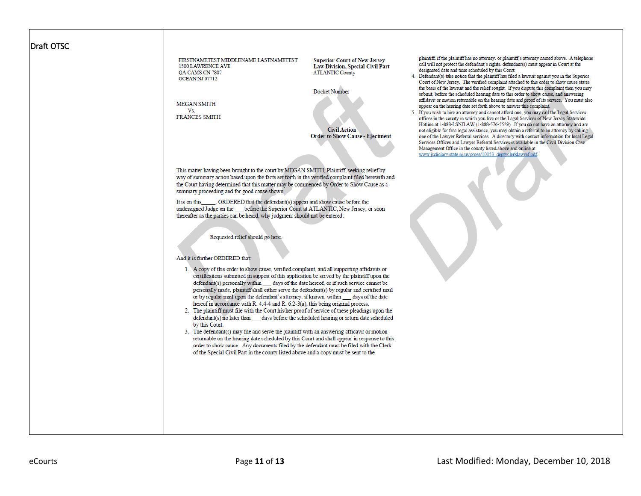#### <span id="page-10-0"></span>Draft OTSC

FIRSTNAMETEST MIDDLENAME LASTNAMETEST **1500 LAWRENCE AVE** QA CAMS CN 7807 OCEAN NJ 07712

**MEGAN SMITH** Vs **FRANCES SMITH** 

**Superior Court of New Jersey** Law Division, Special Civil Part **ATLANTIC County** 

Docket Number

**Civil Action Order to Show Cause - Ejectment** 

This matter having been brought to the court by MEGAN SMITH, Plaintiff, seeking relief by way of summary action based upon the facts set forth in the verified complaint filed herewith and the Court having determined that this matter may be commenced by Order to Show Cause as a summary proceeding and for good cause shown,

\_\_, ORDERED that the defendant(s) appear and show cause before the It is on this undersigned Judge on the \_\_\_\_ before the Superior Court at ATLANTIC, New Jersey, or soon thereafter as the parties can be heard, why judgment should not be entered:

Requested relief should go here

#### And it is further ORDERED that:

- 1. A copy of this order to show cause, verified complaint, and all supporting affidavits or certifications submitted in support of this application be served by the plaintiff upon the defendant(s) personally within \_\_\_\_\_ days of the date hereof, or if such service cannot be personally made, plaintiff shall either serve the defendant(s) by regular and certified mail or by regular mail upon the defendant's attorney, if known, within \_\_ days of the date hereof in accordance with R. 4:4-4 and R. 6:2-3(a), this being original process.
- 2. The plaintiff must file with the Court his/her proof of service of these pleadings upon the defendant(s) no later than days before the scheduled hearing or return date scheduled by this Court.
- 3. The defendant(s) may file and serve the plaintiff with an answering affidavit or motion returnable on the hearing date scheduled by this Court and shall appear in response to this order to show cause. Any documents filed by the defendant must be filed with the Clerk of the Special Civil Part in the county listed above and a copy must be sent to the

plaintiff, if the plaintiff has no attorney, or plaintiff's attorney named above. A telephone call will not protect the defendant's rights, defendant(s) must appear in Court at the designated date and time scheduled by this Court.

- 4. Defendant(s) take notice that the plaintiff has filed a lawsuit against you in the Superior Court of New Jersey. The verified complaint attached to this order to show cause states the basis of the lawsuit and the relief sought. If you dispute this complaint then you may submit, before the scheduled hearing date to this order to show cause, and answering affidavit or motion returnable on the hearing date and proof of its service. You must also appear on the hearing date set forth above to answer this complaint.
- $\overline{\mathbf{5}}$ If you wish to hire an attorney and cannot afford one, you may call the Legal Services offices in the county in which you live or the Legal Services of New Jersey Statewide Hotline at 1-888-LSNJLAW (1-888-576-5529). If you do not have an attorney and are not eligible for free legal assistance, you may obtain a referral to an attorney by calling one of the Lawver Referral services. A directory with contact information for local Legal Services Offices and Lawver Referral Services is available in the Civil Division Case Management Office in the county listed above and online at www.judiciary.state.nj.us/prose/10153\_deptyclerklawref.pdf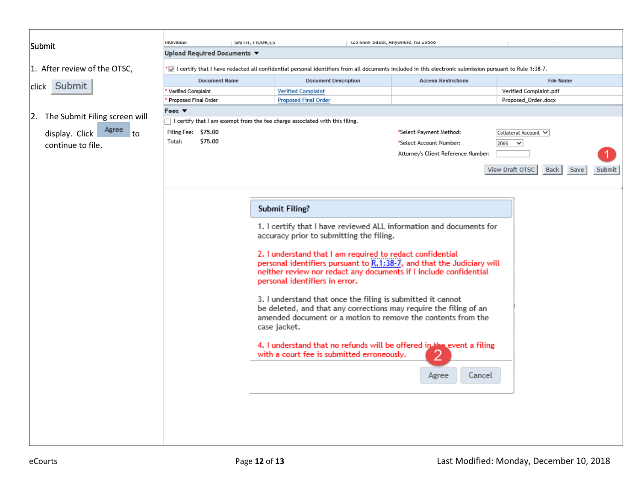<span id="page-11-0"></span>

|                                  | marviauar                                  | <b>SMITH, FRANCES</b>                                                                                                                                                         |                                                                                                                                     |                                                                                                                     | IZO MIGHT STREET WITANIETE, NO 29300 |               |                                               |      |        |  |
|----------------------------------|--------------------------------------------|-------------------------------------------------------------------------------------------------------------------------------------------------------------------------------|-------------------------------------------------------------------------------------------------------------------------------------|---------------------------------------------------------------------------------------------------------------------|--------------------------------------|---------------|-----------------------------------------------|------|--------|--|
| Submit                           |                                            | Upload Required Documents $\blacktriangledown$                                                                                                                                |                                                                                                                                     |                                                                                                                     |                                      |               |                                               |      |        |  |
|                                  |                                            | $\blacktriangleright$ I certify that I have redacted all confidential personal identifiers from all documents included in this electronic submission pursuant to Rule 1:38-7. |                                                                                                                                     |                                                                                                                     |                                      |               |                                               |      |        |  |
| 1. After review of the OTSC,     |                                            |                                                                                                                                                                               |                                                                                                                                     |                                                                                                                     |                                      |               |                                               |      |        |  |
| click Submit                     | <b>Document Name</b>                       |                                                                                                                                                                               |                                                                                                                                     | <b>Document Description</b>                                                                                         | <b>Access Restrictions</b>           |               | <b>File Name</b>                              |      |        |  |
|                                  | Verified Complaint<br>Proposed Final Order |                                                                                                                                                                               |                                                                                                                                     | <b>Verified Complaint</b><br><b>Proposed Final Order</b>                                                            |                                      |               | Verified Complaint.pdf<br>Proposed Order.docx |      |        |  |
|                                  |                                            |                                                                                                                                                                               |                                                                                                                                     |                                                                                                                     |                                      |               |                                               |      |        |  |
| 2. The Submit Filing screen will | Fees $\blacktriangledown$                  |                                                                                                                                                                               |                                                                                                                                     | $\sqcap$ I certify that I am exempt from the fee charge associated with this filing.                                |                                      |               |                                               |      |        |  |
| Agree                            | Filing Fee: \$75.00                        |                                                                                                                                                                               |                                                                                                                                     |                                                                                                                     | *Select Payment Method:              |               | Collateral Account V                          |      |        |  |
| display. Click<br>to             | Total:                                     | \$75.00                                                                                                                                                                       |                                                                                                                                     |                                                                                                                     | *Select Account Number:              | $2065$ $\vee$ |                                               |      |        |  |
| continue to file.                |                                            |                                                                                                                                                                               |                                                                                                                                     |                                                                                                                     | Attorney's Client Reference Number:  |               |                                               |      |        |  |
|                                  |                                            |                                                                                                                                                                               |                                                                                                                                     |                                                                                                                     |                                      |               |                                               |      |        |  |
|                                  |                                            |                                                                                                                                                                               |                                                                                                                                     |                                                                                                                     |                                      |               | View Draft OTSC<br>Back                       | Save | Submit |  |
|                                  |                                            |                                                                                                                                                                               |                                                                                                                                     |                                                                                                                     |                                      |               |                                               |      |        |  |
|                                  |                                            |                                                                                                                                                                               |                                                                                                                                     |                                                                                                                     |                                      |               |                                               |      |        |  |
|                                  |                                            |                                                                                                                                                                               |                                                                                                                                     |                                                                                                                     |                                      |               |                                               |      |        |  |
|                                  |                                            |                                                                                                                                                                               |                                                                                                                                     | <b>Submit Filing?</b>                                                                                               |                                      |               |                                               |      |        |  |
|                                  |                                            |                                                                                                                                                                               | 1. I certify that I have reviewed ALL information and documents for                                                                 |                                                                                                                     |                                      |               |                                               |      |        |  |
|                                  |                                            |                                                                                                                                                                               |                                                                                                                                     | accuracy prior to submitting the filing.                                                                            |                                      |               |                                               |      |        |  |
|                                  |                                            |                                                                                                                                                                               |                                                                                                                                     |                                                                                                                     |                                      |               |                                               |      |        |  |
|                                  |                                            |                                                                                                                                                                               | 2. I understand that I am required to redact confidential<br>personal identifiers pursuant to R.1:38-7, and that the Judiciary will |                                                                                                                     |                                      |               |                                               |      |        |  |
|                                  |                                            |                                                                                                                                                                               |                                                                                                                                     | neither review nor redact any documents if I include confidential                                                   |                                      |               |                                               |      |        |  |
|                                  |                                            |                                                                                                                                                                               |                                                                                                                                     | personal identifiers in error.                                                                                      |                                      |               |                                               |      |        |  |
|                                  |                                            |                                                                                                                                                                               |                                                                                                                                     |                                                                                                                     |                                      |               |                                               |      |        |  |
|                                  |                                            |                                                                                                                                                                               |                                                                                                                                     | 3. I understand that once the filing is submitted it cannot                                                         |                                      |               |                                               |      |        |  |
|                                  |                                            |                                                                                                                                                                               |                                                                                                                                     | be deleted, and that any corrections may require the filing of an                                                   |                                      |               |                                               |      |        |  |
|                                  |                                            |                                                                                                                                                                               |                                                                                                                                     | amended document or a motion to remove the contents from the<br>case jacket.                                        |                                      |               |                                               |      |        |  |
|                                  |                                            |                                                                                                                                                                               |                                                                                                                                     |                                                                                                                     |                                      |               |                                               |      |        |  |
|                                  |                                            |                                                                                                                                                                               |                                                                                                                                     | 4. I understand that no refunds will be offered in the event a filing<br>with a court fee is submitted erroneously. |                                      |               |                                               |      |        |  |
|                                  |                                            |                                                                                                                                                                               |                                                                                                                                     |                                                                                                                     |                                      |               |                                               |      |        |  |
|                                  |                                            |                                                                                                                                                                               |                                                                                                                                     |                                                                                                                     | Cancel<br>Agree                      |               |                                               |      |        |  |
|                                  |                                            |                                                                                                                                                                               |                                                                                                                                     |                                                                                                                     |                                      |               |                                               |      |        |  |
|                                  |                                            |                                                                                                                                                                               |                                                                                                                                     |                                                                                                                     |                                      |               |                                               |      |        |  |
|                                  |                                            |                                                                                                                                                                               |                                                                                                                                     |                                                                                                                     |                                      |               |                                               |      |        |  |
|                                  |                                            |                                                                                                                                                                               |                                                                                                                                     |                                                                                                                     |                                      |               |                                               |      |        |  |
|                                  |                                            |                                                                                                                                                                               |                                                                                                                                     |                                                                                                                     |                                      |               |                                               |      |        |  |
|                                  |                                            |                                                                                                                                                                               |                                                                                                                                     |                                                                                                                     |                                      |               |                                               |      |        |  |
|                                  |                                            |                                                                                                                                                                               |                                                                                                                                     |                                                                                                                     |                                      |               |                                               |      |        |  |